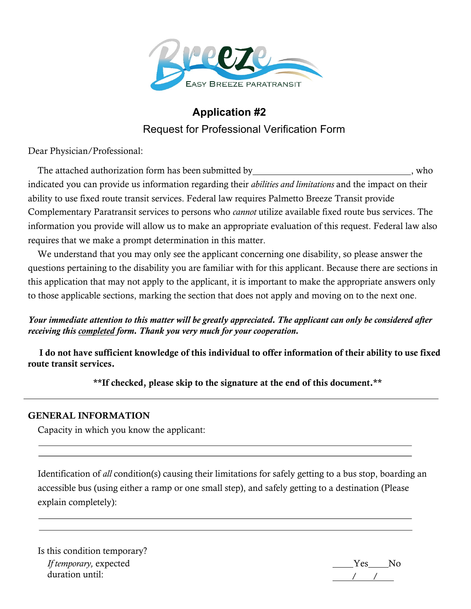

# **Application #2** Request for Professional Verification Form

Dear Physician/Professional:

The attached authorization form has been submitted by , who indicated you can provide us information regarding their *abilities and limitations* and the impact on their ability to use fixed route transit services. Federal law requires Palmetto Breeze Transit provide Complementary Paratransit services to persons who *cannot* utilize available fixed route bus services. The information you provide will allow us to make an appropriate evaluation of this request. Federal law also requires that we make a prompt determination in this matter.

We understand that you may only see the applicant concerning one disability, so please answer the questions pertaining to the disability you are familiar with for this applicant. Because there are sections in this application that may not apply to the applicant, it is important to make the appropriate answers only to those applicable sections, marking the section that does not apply and moving on to the next one.

## *Your immediate attention to this matter will be greatly appreciated. The applicant can only be considered after receiving this completed form. Thank you very much for your cooperation.*

 I do not have sufficient knowledge of this individual to offer information of their ability to use fixed route transit services.

\*\*If checked, please skip to the signature at the end of this document.\*\*

## GENERAL INFORMATION

Capacity in which you know the applicant:

Identification of *all* condition(s) causing their limitations for safely getting to a bus stop, boarding an accessible bus (using either a ramp or one small step), and safely getting to a destination (Please explain completely):

Is this condition temporary? *If temporary,* expected duration until:

Yes No / /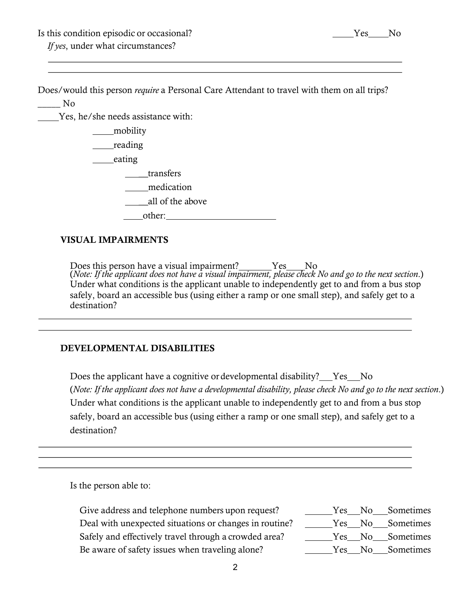Is this condition episodic or occasional? The Vester Condition expectation of the Vester No *If yes*, under what circumstances?

Does/would this person *require* a Personal Care Attendant to travel with them on all trips?

\_\_\_\_\_ No

Yes, he/she needs assistance with:

\_mobility \_\_reading

eating

\_\_transfers

medication

all of the above

other:

#### VISUAL IMPAIRMENTS

Does this person have a visual impairment? Ves No (*Note: If the applicant does not have a visual impairment, please check No and go to the next section*.) Under what conditions is the applicant unable to independently get to and from a bus stop safely, board an accessible bus (using either a ramp or one small step), and safely get to a destination?

#### DEVELOPMENTAL DISABILITIES

Does the applicant have a cognitive ordevelopmental disability? Yes No (*Note: If the applicant does not have a developmental disability, please check No and go to the next section*.) Under what conditions is the applicant unable to independently get to and from a bus stop safely, board an accessible bus (using either a ramp or one small step), and safely get to a destination?

Is the person able to:

Give address and telephone numbers upon request? The Mess Note Sometimes Deal with unexpected situations or changes in routine? \_\_\_\_\_Yes\_\_No\_\_Sometimes Safely and effectively travel through a crowded area? The Mess No Sometimes Be aware of safety issues when traveling alone? The Ves No Sometimes